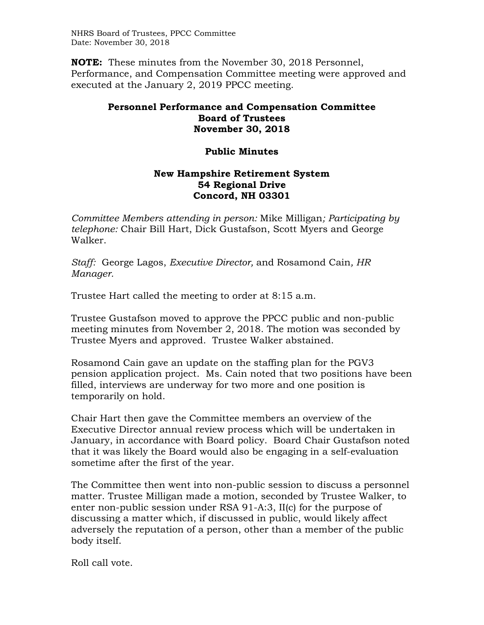NHRS Board of Trustees, PPCC Committee Date: November 30, 2018

**NOTE:** These minutes from the November 30, 2018 Personnel, Performance, and Compensation Committee meeting were approved and executed at the January 2, 2019 PPCC meeting.

## **Personnel Performance and Compensation Committee Board of Trustees November 30, 2018**

## **Public Minutes**

## **New Hampshire Retirement System 54 Regional Drive Concord, NH 03301**

*Committee Members attending in person:* Mike Milligan*; Participating by telephone:* Chair Bill Hart, Dick Gustafson, Scott Myers and George Walker.

*Staff:* George Lagos, *Executive Director,* and Rosamond Cain*, HR Manager.* 

Trustee Hart called the meeting to order at 8:15 a.m.

Trustee Gustafson moved to approve the PPCC public and non-public meeting minutes from November 2, 2018. The motion was seconded by Trustee Myers and approved. Trustee Walker abstained.

Rosamond Cain gave an update on the staffing plan for the PGV3 pension application project. Ms. Cain noted that two positions have been filled, interviews are underway for two more and one position is temporarily on hold.

Chair Hart then gave the Committee members an overview of the Executive Director annual review process which will be undertaken in January, in accordance with Board policy. Board Chair Gustafson noted that it was likely the Board would also be engaging in a self-evaluation sometime after the first of the year.

The Committee then went into non-public session to discuss a personnel matter. Trustee Milligan made a motion, seconded by Trustee Walker, to enter non-public session under RSA 91-A:3, II(c) for the purpose of discussing a matter which, if discussed in public, would likely affect adversely the reputation of a person, other than a member of the public body itself.

Roll call vote.